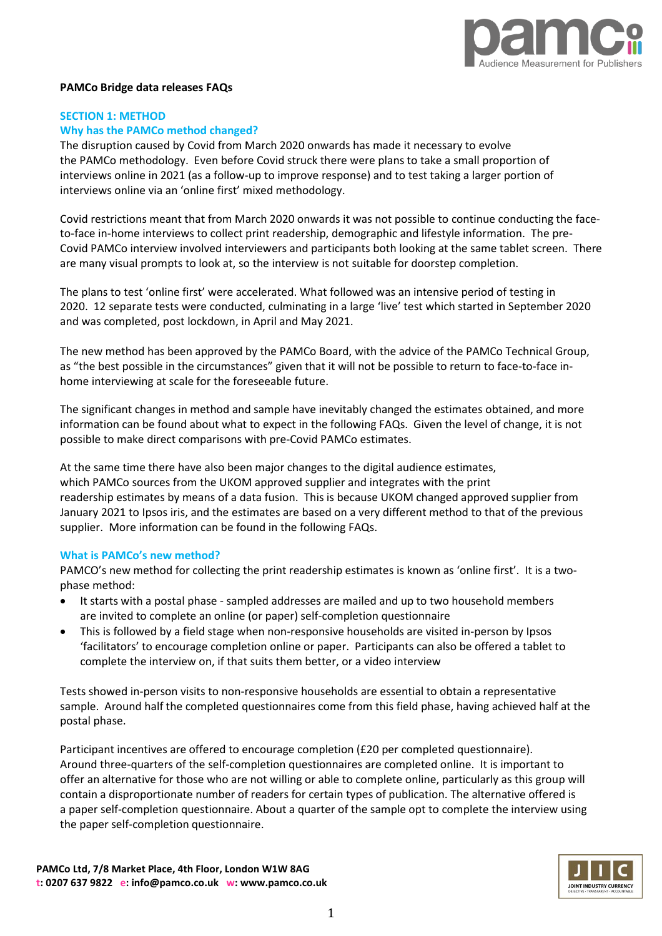

#### **PAMCo Bridge data releases FAQs**

## **SECTION 1: METHOD Why has the PAMCo method changed?**

The disruption caused by Covid from March 2020 onwards has made it necessary to evolve the PAMCo methodology. Even before Covid struck there were plans to take a small proportion of interviews online in 2021 (as a follow-up to improve response) and to test taking a larger portion of interviews online via an 'online first' mixed methodology.

Covid restrictions meant that from March 2020 onwards it was not possible to continue conducting the faceto-face in-home interviews to collect print readership, demographic and lifestyle information. The pre-Covid PAMCo interview involved interviewers and participants both looking at the same tablet screen. There are many visual prompts to look at, so the interview is not suitable for doorstep completion.

The plans to test 'online first' were accelerated. What followed was an intensive period of testing in 2020. 12 separate tests were conducted, culminating in a large 'live' test which started in September 2020 and was completed, post lockdown, in April and May 2021.

The new method has been approved by the PAMCo Board, with the advice of the PAMCo Technical Group, as "the best possible in the circumstances" given that it will not be possible to return to face-to-face inhome interviewing at scale for the foreseeable future.

The significant changes in method and sample have inevitably changed the estimates obtained, and more information can be found about what to expect in the following FAQs. Given the level of change, it is not possible to make direct comparisons with pre-Covid PAMCo estimates.

At the same time there have also been major changes to the digital audience estimates, which PAMCo sources from the UKOM approved supplier and integrates with the print readership estimates by means of a data fusion. This is because UKOM changed approved supplier from January 2021 to Ipsos iris, and the estimates are based on a very different method to that of the previous supplier. More information can be found in the following FAQs.

### **What is PAMCo's new method?**

PAMCO's new method for collecting the print readership estimates is known as 'online first'. It is a twophase method:

- It starts with a postal phase sampled addresses are mailed and up to two household members are invited to complete an online (or paper) self-completion questionnaire
- This is followed by a field stage when non-responsive households are visited in-person by Ipsos 'facilitators' to encourage completion online or paper. Participants can also be offered a tablet to complete the interview on, if that suits them better, or a video interview

Tests showed in-person visits to non-responsive households are essential to obtain a representative sample. Around half the completed questionnaires come from this field phase, having achieved half at the postal phase.

Participant incentives are offered to encourage completion (£20 per completed questionnaire). Around three-quarters of the self-completion questionnaires are completed online. It is important to offer an alternative for those who are not willing or able to complete online, particularly as this group will contain a disproportionate number of readers for certain types of publication. The alternative offered is a paper self-completion questionnaire. About a quarter of the sample opt to complete the interview using the paper self-completion questionnaire.

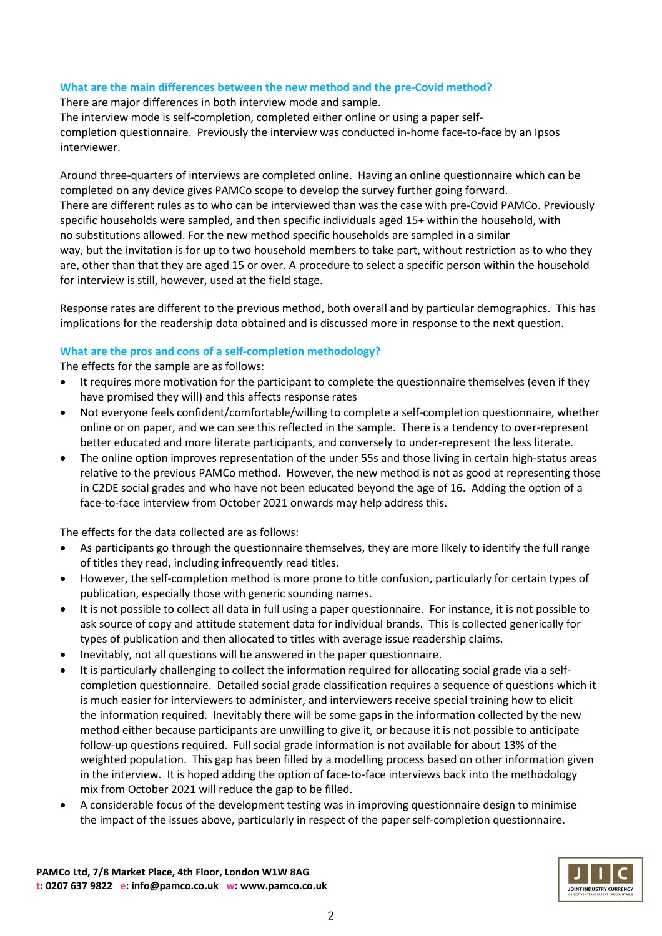# **What are the main differences between the new method and the pre-Covid method?**

There are major differences in both interview mode and sample. The interview mode is self-completion, completed either online or using a paper selfcompletion questionnaire. Previously the interview was conducted in-home face-to-face by an Ipsos interviewer.

Around three-quarters of interviews are completed online. Having an online questionnaire which can be completed on any device gives PAMCo scope to develop the survey further going forward. There are different rules as to who can be interviewed than was the case with pre-Covid PAMCo. Previously specific households were sampled, and then specific individuals aged 15+ within the household, with no substitutions allowed. For the new method specific households are sampled in a similar way, but the invitation is for up to two household members to take part, without restriction as to who they are, other than that they are aged 15 or over. A procedure to select a specific person within the household for interview is still, however, used at the field stage.

Response rates are different to the previous method, both overall and by particular demographics. This has implications for the readership data obtained and is discussed more in response to the next question.

# **What are the pros and cons of a self-completion methodology?**

The effects for the sample are as follows:

- It requires more motivation for the participant to complete the questionnaire themselves (even if they have promised they will) and this affects response rates
- Not everyone feels confident/comfortable/willing to complete a self-completion questionnaire, whether online or on paper, and we can see this reflected in the sample. There is a tendency to over-represent better educated and more literate participants, and conversely to under-represent the less literate.
- The online option improves representation of the under 55s and those living in certain high-status areas relative to the previous PAMCo method. However, the new method is not as good at representing those in C2DE social grades and who have not been educated beyond the age of 16. Adding the option of a face-to-face interview from October 2021 onwards may help address this.

The effects for the data collected are as follows:

- As participants go through the questionnaire themselves, they are more likely to identify the full range of titles they read, including infrequently read titles.
- However, the self-completion method is more prone to title confusion, particularly for certain types of publication, especially those with generic sounding names.
- It is not possible to collect all data in full using a paper questionnaire. For instance, it is not possible to ask source of copy and attitude statement data for individual brands. This is collected generically for types of publication and then allocated to titles with average issue readership claims.
- Inevitably, not all questions will be answered in the paper questionnaire.
- It is particularly challenging to collect the information required for allocating social grade via a selfcompletion questionnaire. Detailed social grade classification requires a sequence of questions which it is much easier for interviewers to administer, and interviewers receive special training how to elicit the information required. Inevitably there will be some gaps in the information collected by the new method either because participants are unwilling to give it, or because it is not possible to anticipate follow-up questions required. Full social grade information is not available for about 13% of the weighted population. This gap has been filled by a modelling process based on other information given in the interview. It is hoped adding the option of face-to-face interviews back into the methodology mix from October 2021 will reduce the gap to be filled.
- A considerable focus of the development testing was in improving questionnaire design to minimise the impact of the issues above, particularly in respect of the paper self-completion questionnaire.

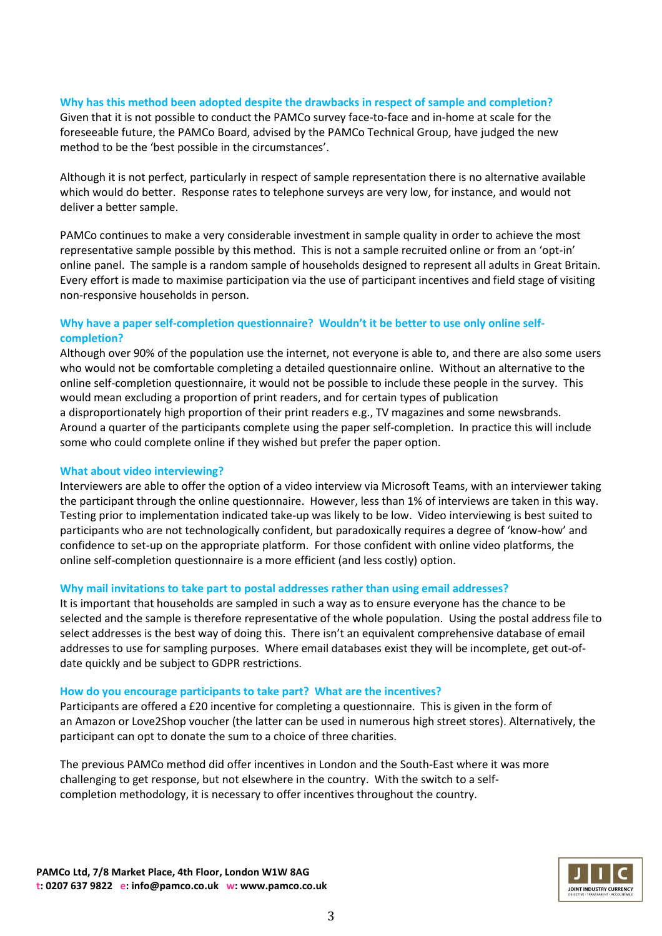### **Why has this method been adopted despite the drawbacks in respect of sample and completion?**

Given that it is not possible to conduct the PAMCo survey face-to-face and in-home at scale for the foreseeable future, the PAMCo Board, advised by the PAMCo Technical Group, have judged the new method to be the 'best possible in the circumstances'.

Although it is not perfect, particularly in respect of sample representation there is no alternative available which would do better. Response rates to telephone surveys are very low, for instance, and would not deliver a better sample.

PAMCo continues to make a very considerable investment in sample quality in order to achieve the most representative sample possible by this method. This is not a sample recruited online or from an 'opt-in' online panel. The sample is a random sample of households designed to represent all adults in Great Britain. Every effort is made to maximise participation via the use of participant incentives and field stage of visiting non-responsive households in person.

## **Why have a paper self-completion questionnaire? Wouldn't it be better to use only online selfcompletion?**

Although over 90% of the population use the internet, not everyone is able to, and there are also some users who would not be comfortable completing a detailed questionnaire online. Without an alternative to the online self-completion questionnaire, it would not be possible to include these people in the survey. This would mean excluding a proportion of print readers, and for certain types of publication a disproportionately high proportion of their print readers e.g., TV magazines and some newsbrands. Around a quarter of the participants complete using the paper self-completion. In practice this will include some who could complete online if they wished but prefer the paper option.

### **What about video interviewing?**

Interviewers are able to offer the option of a video interview via Microsoft Teams, with an interviewer taking the participant through the online questionnaire. However, less than 1% of interviews are taken in this way. Testing prior to implementation indicated take-up was likely to be low. Video interviewing is best suited to participants who are not technologically confident, but paradoxically requires a degree of 'know-how' and confidence to set-up on the appropriate platform. For those confident with online video platforms, the online self-completion questionnaire is a more efficient (and less costly) option.

### **Why mail invitations to take part to postal addresses rather than using email addresses?**

It is important that households are sampled in such a way as to ensure everyone has the chance to be selected and the sample is therefore representative of the whole population. Using the postal address file to select addresses is the best way of doing this. There isn't an equivalent comprehensive database of email addresses to use for sampling purposes. Where email databases exist they will be incomplete, get out-ofdate quickly and be subject to GDPR restrictions.

#### **How do you encourage participants to take part? What are the incentives?**

Participants are offered a £20 incentive for completing a questionnaire. This is given in the form of an Amazon or Love2Shop voucher (the latter can be used in numerous high street stores). Alternatively, the participant can opt to donate the sum to a choice of three charities.

The previous PAMCo method did offer incentives in London and the South-East where it was more challenging to get response, but not elsewhere in the country. With the switch to a selfcompletion methodology, it is necessary to offer incentives throughout the country.

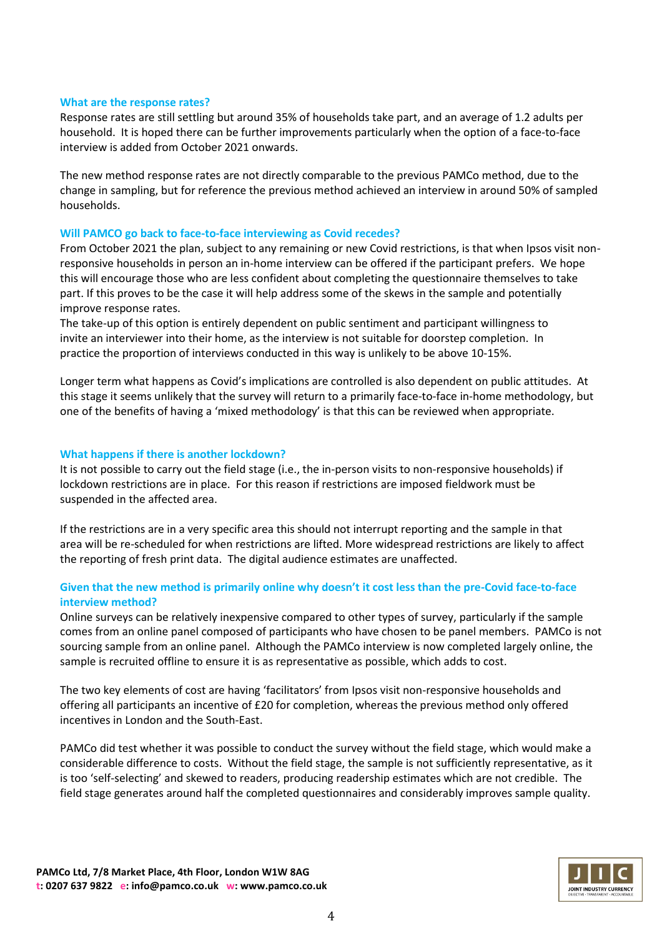#### **What are the response rates?**

Response rates are still settling but around 35% of households take part, and an average of 1.2 adults per household. It is hoped there can be further improvements particularly when the option of a face-to-face interview is added from October 2021 onwards.

The new method response rates are not directly comparable to the previous PAMCo method, due to the change in sampling, but for reference the previous method achieved an interview in around 50% of sampled households.

#### **Will PAMCO go back to face-to-face interviewing as Covid recedes?**

From October 2021 the plan, subject to any remaining or new Covid restrictions, is that when Ipsos visit nonresponsive households in person an in-home interview can be offered if the participant prefers. We hope this will encourage those who are less confident about completing the questionnaire themselves to take part. If this proves to be the case it will help address some of the skews in the sample and potentially improve response rates.

The take-up of this option is entirely dependent on public sentiment and participant willingness to invite an interviewer into their home, as the interview is not suitable for doorstep completion. In practice the proportion of interviews conducted in this way is unlikely to be above 10-15%.

Longer term what happens as Covid's implications are controlled is also dependent on public attitudes. At this stage it seems unlikely that the survey will return to a primarily face-to-face in-home methodology, but one of the benefits of having a 'mixed methodology' is that this can be reviewed when appropriate.

#### **What happens if there is another lockdown?**

It is not possible to carry out the field stage (i.e., the in-person visits to non-responsive households) if lockdown restrictions are in place. For this reason if restrictions are imposed fieldwork must be suspended in the affected area.

If the restrictions are in a very specific area this should not interrupt reporting and the sample in that area will be re-scheduled for when restrictions are lifted. More widespread restrictions are likely to affect the reporting of fresh print data. The digital audience estimates are unaffected.

## **Given that the new method is primarily online why doesn't it cost less than the pre-Covid face-to-face interview method?**

Online surveys can be relatively inexpensive compared to other types of survey, particularly if the sample comes from an online panel composed of participants who have chosen to be panel members. PAMCo is not sourcing sample from an online panel. Although the PAMCo interview is now completed largely online, the sample is recruited offline to ensure it is as representative as possible, which adds to cost.

The two key elements of cost are having 'facilitators' from Ipsos visit non-responsive households and offering all participants an incentive of £20 for completion, whereas the previous method only offered incentives in London and the South-East.

PAMCo did test whether it was possible to conduct the survey without the field stage, which would make a considerable difference to costs. Without the field stage, the sample is not sufficiently representative, as it is too 'self-selecting' and skewed to readers, producing readership estimates which are not credible. The field stage generates around half the completed questionnaires and considerably improves sample quality.

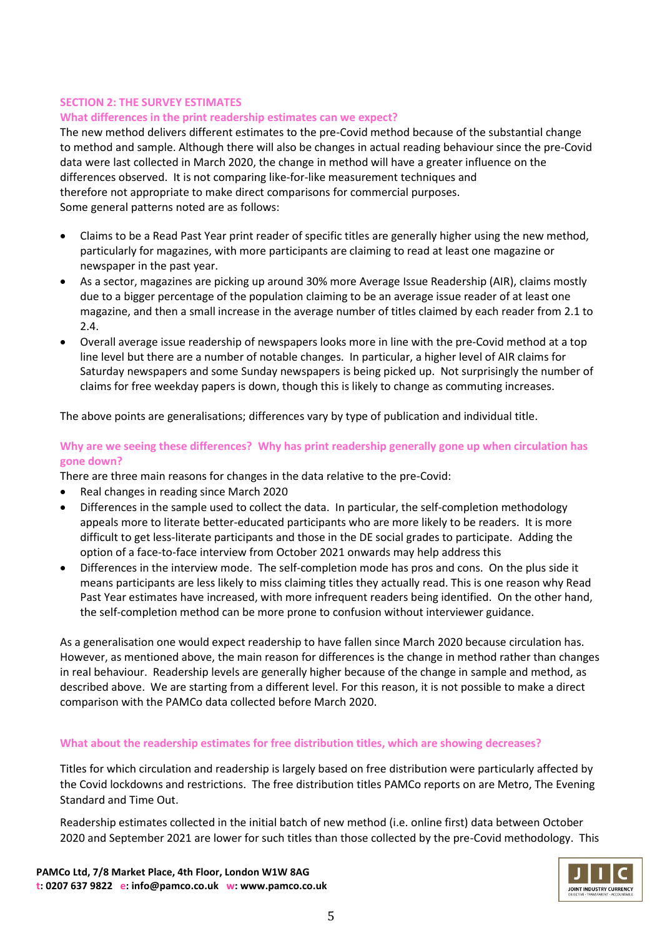## **SECTION 2: THE SURVEY ESTIMATES**

## **What differences in the print readership estimates can we expect?**

The new method delivers different estimates to the pre-Covid method because of the substantial change to method and sample. Although there will also be changes in actual reading behaviour since the pre-Covid data were last collected in March 2020, the change in method will have a greater influence on the differences observed. It is not comparing like-for-like measurement techniques and therefore not appropriate to make direct comparisons for commercial purposes. Some general patterns noted are as follows:

- Claims to be a Read Past Year print reader of specific titles are generally higher using the new method, particularly for magazines, with more participants are claiming to read at least one magazine or newspaper in the past year.
- As a sector, magazines are picking up around 30% more Average Issue Readership (AIR), claims mostly due to a bigger percentage of the population claiming to be an average issue reader of at least one magazine, and then a small increase in the average number of titles claimed by each reader from 2.1 to 2.4.
- Overall average issue readership of newspapers looks more in line with the pre-Covid method at a top line level but there are a number of notable changes. In particular, a higher level of AIR claims for Saturday newspapers and some Sunday newspapers is being picked up. Not surprisingly the number of claims for free weekday papers is down, though this is likely to change as commuting increases.

The above points are generalisations; differences vary by type of publication and individual title.

## **Why are we seeing these differences? Why has print readership generally gone up when circulation has gone down?**

There are three main reasons for changes in the data relative to the pre-Covid:

- Real changes in reading since March 2020
- Differences in the sample used to collect the data. In particular, the self-completion methodology appeals more to literate better-educated participants who are more likely to be readers. It is more difficult to get less-literate participants and those in the DE social grades to participate. Adding the option of a face-to-face interview from October 2021 onwards may help address this
- Differences in the interview mode. The self-completion mode has pros and cons. On the plus side it means participants are less likely to miss claiming titles they actually read. This is one reason why Read Past Year estimates have increased, with more infrequent readers being identified. On the other hand, the self-completion method can be more prone to confusion without interviewer guidance.

As a generalisation one would expect readership to have fallen since March 2020 because circulation has. However, as mentioned above, the main reason for differences is the change in method rather than changes in real behaviour. Readership levels are generally higher because of the change in sample and method, as described above. We are starting from a different level. For this reason, it is not possible to make a direct comparison with the PAMCo data collected before March 2020.

# **What about the readership estimates for free distribution titles, which are showing decreases?**

Titles for which circulation and readership is largely based on free distribution were particularly affected by the Covid lockdowns and restrictions. The free distribution titles PAMCo reports on are Metro, The Evening Standard and Time Out.

Readership estimates collected in the initial batch of new method (i.e. online first) data between October 2020 and September 2021 are lower for such titles than those collected by the pre-Covid methodology. This

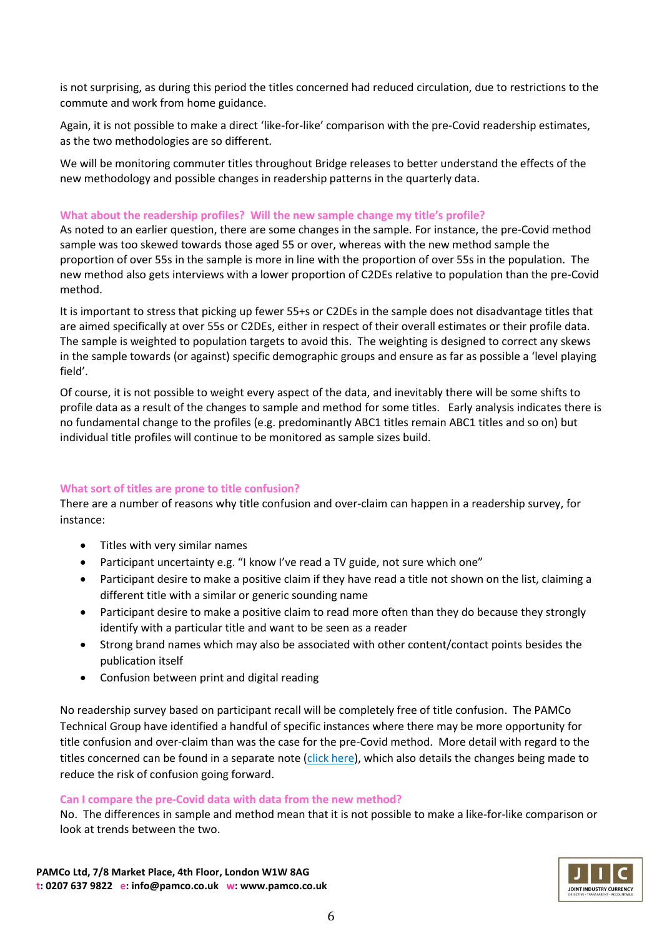is not surprising, as during this period the titles concerned had reduced circulation, due to restrictions to the commute and work from home guidance.

Again, it is not possible to make a direct 'like-for-like' comparison with the pre-Covid readership estimates, as the two methodologies are so different.

We will be monitoring commuter titles throughout Bridge releases to better understand the effects of the new methodology and possible changes in readership patterns in the quarterly data.

## **What about the readership profiles? Will the new sample change my title's profile?**

As noted to an earlier question, there are some changes in the sample. For instance, the pre-Covid method sample was too skewed towards those aged 55 or over, whereas with the new method sample the proportion of over 55s in the sample is more in line with the proportion of over 55s in the population. The new method also gets interviews with a lower proportion of C2DEs relative to population than the pre-Covid method.

It is important to stress that picking up fewer 55+s or C2DEs in the sample does not disadvantage titles that are aimed specifically at over 55s or C2DEs, either in respect of their overall estimates or their profile data. The sample is weighted to population targets to avoid this. The weighting is designed to correct any skews in the sample towards (or against) specific demographic groups and ensure as far as possible a 'level playing field'.

Of course, it is not possible to weight every aspect of the data, and inevitably there will be some shifts to profile data as a result of the changes to sample and method for some titles. Early analysis indicates there is no fundamental change to the profiles (e.g. predominantly ABC1 titles remain ABC1 titles and so on) but individual title profiles will continue to be monitored as sample sizes build.

# **What sort of titles are prone to title confusion?**

There are a number of reasons why title confusion and over-claim can happen in a readership survey, for instance:

- Titles with very similar names
- Participant uncertainty e.g. "I know I've read a TV guide, not sure which one"
- Participant desire to make a positive claim if they have read a title not shown on the list, claiming a different title with a similar or generic sounding name
- Participant desire to make a positive claim to read more often than they do because they strongly identify with a particular title and want to be seen as a reader
- Strong brand names which may also be associated with other content/contact points besides the publication itself
- Confusion between print and digital reading

No readership survey based on participant recall will be completely free of title confusion. The PAMCo Technical Group have identified a handful of specific instances where there may be more opportunity for title confusion and over-claim than was the case for the pre-Covid method. More detail with regard to the titles concerned can be found in a separate note [\(click here\)](https://embargo.pamco.co.uk/wp-content/uploads/2021/10/Note-on-title-confusion-for-PAMCo-Bridge-releases.pdf), which also details the changes being made to reduce the risk of confusion going forward.

### **Can I compare the pre-Covid data with data from the new method?**

No. The differences in sample and method mean that it is not possible to make a like-for-like comparison or look at trends between the two.

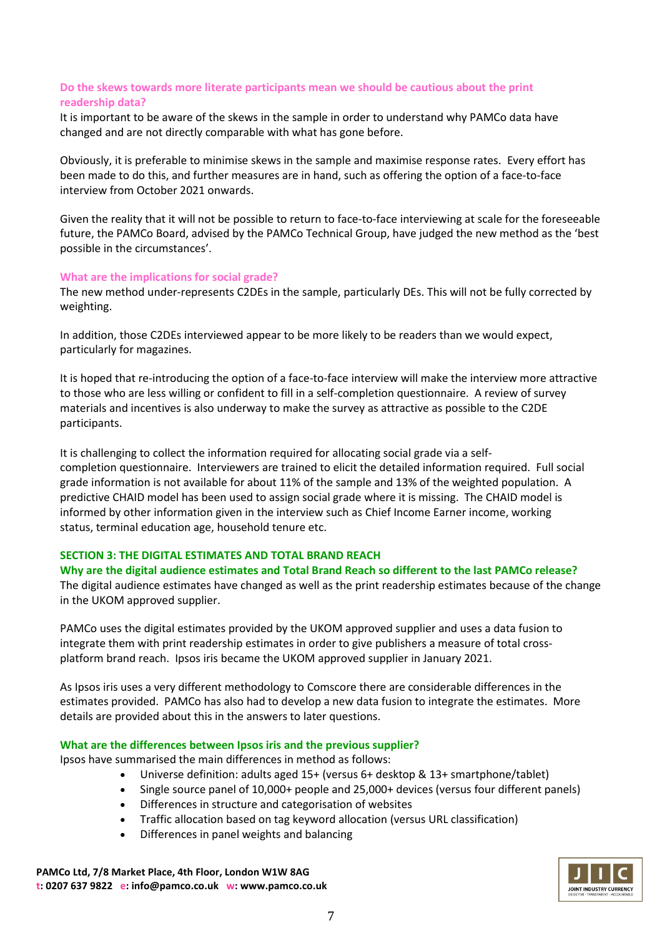# **Do the skews towards more literate participants mean we should be cautious about the print readership data?**

It is important to be aware of the skews in the sample in order to understand why PAMCo data have changed and are not directly comparable with what has gone before.

Obviously, it is preferable to minimise skews in the sample and maximise response rates. Every effort has been made to do this, and further measures are in hand, such as offering the option of a face-to-face interview from October 2021 onwards.

Given the reality that it will not be possible to return to face-to-face interviewing at scale for the foreseeable future, the PAMCo Board, advised by the PAMCo Technical Group, have judged the new method as the 'best possible in the circumstances'.

### **What are the implications for social grade?**

The new method under-represents C2DEs in the sample, particularly DEs. This will not be fully corrected by weighting.

In addition, those C2DEs interviewed appear to be more likely to be readers than we would expect, particularly for magazines.

It is hoped that re-introducing the option of a face-to-face interview will make the interview more attractive to those who are less willing or confident to fill in a self-completion questionnaire. A review of survey materials and incentives is also underway to make the survey as attractive as possible to the C2DE participants.

It is challenging to collect the information required for allocating social grade via a selfcompletion questionnaire. Interviewers are trained to elicit the detailed information required. Full social grade information is not available for about 11% of the sample and 13% of the weighted population. A predictive CHAID model has been used to assign social grade where it is missing. The CHAID model is informed by other information given in the interview such as Chief Income Earner income, working status, terminal education age, household tenure etc.

# **SECTION 3: THE DIGITAL ESTIMATES AND TOTAL BRAND REACH**

### **Why are the digital audience estimates and Total Brand Reach so different to the last PAMCo release?**

The digital audience estimates have changed as well as the print readership estimates because of the change in the UKOM approved supplier.

PAMCo uses the digital estimates provided by the UKOM approved supplier and uses a data fusion to integrate them with print readership estimates in order to give publishers a measure of total crossplatform brand reach. Ipsos iris became the UKOM approved supplier in January 2021.

As Ipsos iris uses a very different methodology to Comscore there are considerable differences in the estimates provided. PAMCo has also had to develop a new data fusion to integrate the estimates. More details are provided about this in the answers to later questions.

# **What are the differences between Ipsos iris and the previous supplier?**

Ipsos have summarised the main differences in method as follows:

- Universe definition: adults aged 15+ (versus 6+ desktop & 13+ smartphone/tablet)
- Single source panel of 10,000+ people and 25,000+ devices (versus four different panels)
- Differences in structure and categorisation of websites
- Traffic allocation based on tag keyword allocation (versus URL classification)
- Differences in panel weights and balancing

**PAMCo Ltd, 7/8 Market Place, 4th Floor, London W1W 8AG t: 0207 637 9822 e: info@pamco.co.uk w: www.pamco.co.uk**

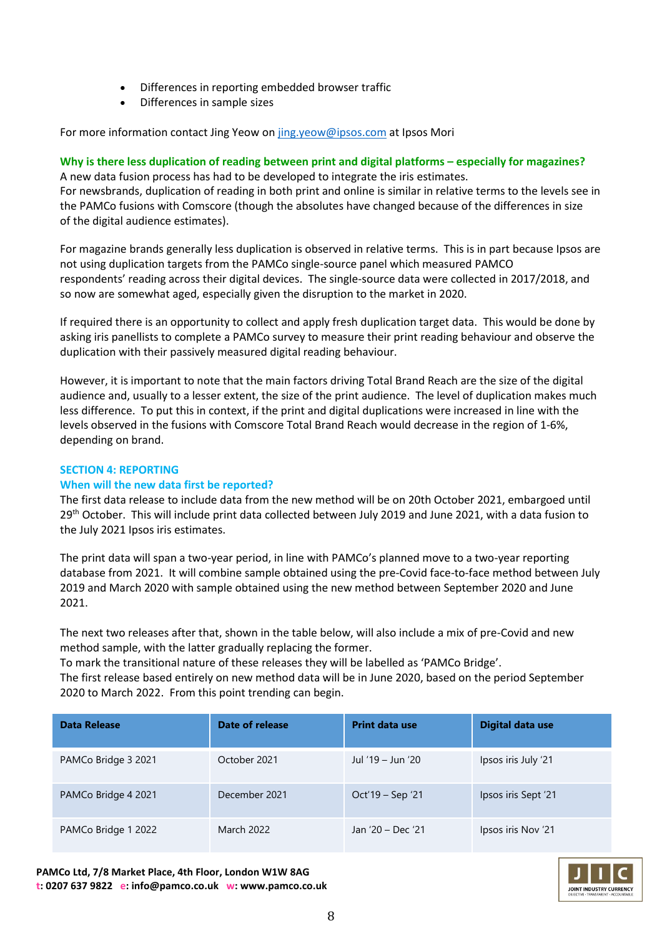- Differences in reporting embedded browser traffic
- Differences in sample sizes

For more information contact Jing Yeow o[n jing.yeow@ipsos.com](mailto:jing.yeow@ipsos.com) at Ipsos Mori

## **Why is there less duplication of reading between print and digital platforms – especially for magazines?**

A new data fusion process has had to be developed to integrate the iris estimates. For newsbrands, duplication of reading in both print and online is similar in relative terms to the levels see in the PAMCo fusions with Comscore (though the absolutes have changed because of the differences in size of the digital audience estimates).

For magazine brands generally less duplication is observed in relative terms. This is in part because Ipsos are not using duplication targets from the PAMCo single-source panel which measured PAMCO respondents' reading across their digital devices. The single-source data were collected in 2017/2018, and so now are somewhat aged, especially given the disruption to the market in 2020.

If required there is an opportunity to collect and apply fresh duplication target data. This would be done by asking iris panellists to complete a PAMCo survey to measure their print reading behaviour and observe the duplication with their passively measured digital reading behaviour.

However, it is important to note that the main factors driving Total Brand Reach are the size of the digital audience and, usually to a lesser extent, the size of the print audience. The level of duplication makes much less difference. To put this in context, if the print and digital duplications were increased in line with the levels observed in the fusions with Comscore Total Brand Reach would decrease in the region of 1-6%, depending on brand.

### **SECTION 4: REPORTING**

### **When will the new data first be reported?**

The first data release to include data from the new method will be on 20th October 2021, embargoed until 29<sup>th</sup> October. This will include print data collected between July 2019 and June 2021, with a data fusion to the July 2021 Ipsos iris estimates.

The print data will span a two-year period, in line with PAMCo's planned move to a two-year reporting database from 2021. It will combine sample obtained using the pre-Covid face-to-face method between July 2019 and March 2020 with sample obtained using the new method between September 2020 and June 2021.

The next two releases after that, shown in the table below, will also include a mix of pre-Covid and new method sample, with the latter gradually replacing the former.

To mark the transitional nature of these releases they will be labelled as 'PAMCo Bridge'. The first release based entirely on new method data will be in June 2020, based on the period September 2020 to March 2022. From this point trending can begin.

| <b>Data Release</b> | Date of release | <b>Print data use</b> | <b>Digital data use</b> |
|---------------------|-----------------|-----------------------|-------------------------|
| PAMCo Bridge 3 2021 | October 2021    | Jul '19 – Jun '20     | Ipsos iris July '21     |
| PAMCo Bridge 4 2021 | December 2021   | Oct'19 – Sep '21      | Ipsos iris Sept '21     |
| PAMCo Bridge 1 2022 | March 2022      | Jan '20 - Dec '21     | Ipsos iris Nov '21      |